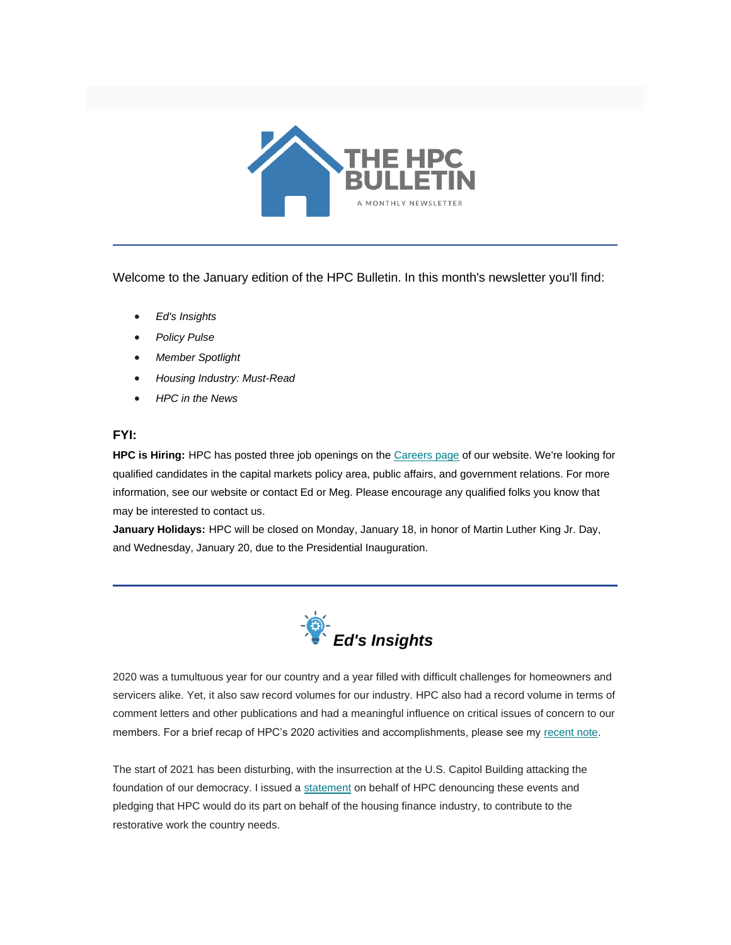

Welcome to the January edition of the HPC Bulletin. In this month's newsletter you'll find:

- *[Ed's Insights](#page-0-0)*
- *[Policy Pulse](#page-1-0)*
- *[Member Spotlight](#page-4-0)*
- *[Housing Industry: Must-Read](#page-5-0)*
- *[HPC in the News](#page-5-1)*

## **FYI:**

**HPC is Hiring:** HPC has posted three job openings on the [Careers page](https://nam12.safelinks.protection.outlook.com/?url=https%3A%2F%2Fwww.housingpolicycouncil.org%2Fcareers&data=04%7C01%7Canna.herndon%40edelman.com%7Cb70bc7db3d8141532ffc08d8b659a6c3%7Cb824bfb3918e43c2bb1cdcc1ba40a82b%7C0%7C0%7C637459843466671877%7CUnknown%7CTWFpbGZsb3d8eyJWIjoiMC4wLjAwMDAiLCJQIjoiV2luMzIiLCJBTiI6Ik1haWwiLCJXVCI6Mn0%3D%7C1000&sdata=qooggqTCWx8l%2BHArIsZF2ynM1%2B1n%2BrHDr7%2FAPZyCA3U%3D&reserved=0) of our website. We're looking for qualified candidates in the capital markets policy area, public affairs, and government relations. For more information, see our website or contact Ed or Meg. Please encourage any qualified folks you know that may be interested to contact us.

**January Holidays:** HPC will be closed on Monday, January 18, in honor of Martin Luther King Jr. Day, and Wednesday, January 20, due to the Presidential Inauguration.

<span id="page-0-0"></span>

2020 was a tumultuous year for our country and a year filled with difficult challenges for homeowners and servicers alike. Yet, it also saw record volumes for our industry. HPC also had a record volume in terms of comment letters and other publications and had a meaningful influence on critical issues of concern to our members. For a brief recap of HPC's 2020 activities and accomplishments, please see my [recent note.](https://nam12.safelinks.protection.outlook.com/?url=https%3A%2F%2Ffbb0ab68-1668-4db6-9365-051035190b71.filesusr.com%2Fugd%2Fd315af_9a6de07aff494e0d9603f24cdb0f45e8.pdf&data=04%7C01%7Canna.herndon%40edelman.com%7Cb70bc7db3d8141532ffc08d8b659a6c3%7Cb824bfb3918e43c2bb1cdcc1ba40a82b%7C0%7C0%7C637459843466681868%7CUnknown%7CTWFpbGZsb3d8eyJWIjoiMC4wLjAwMDAiLCJQIjoiV2luMzIiLCJBTiI6Ik1haWwiLCJXVCI6Mn0%3D%7C1000&sdata=KhPIyz40wp9XO0gacY3svnAuTfRdqOU2rA4LrEeMTmM%3D&reserved=0)

The start of 2021 has been disturbing, with the insurrection at the U.S. Capitol Building attacking the foundation of our democracy. I issued a [statement](https://nam12.safelinks.protection.outlook.com/?url=https%3A%2F%2Ffbb0ab68-1668-4db6-9365-051035190b71.filesusr.com%2Fugd%2Fd315af_cca99ad270af423ab8a952b7b914abf2.pdf&data=04%7C01%7Canna.herndon%40edelman.com%7Cb70bc7db3d8141532ffc08d8b659a6c3%7Cb824bfb3918e43c2bb1cdcc1ba40a82b%7C0%7C0%7C637459843466681868%7CUnknown%7CTWFpbGZsb3d8eyJWIjoiMC4wLjAwMDAiLCJQIjoiV2luMzIiLCJBTiI6Ik1haWwiLCJXVCI6Mn0%3D%7C1000&sdata=mErmKDlsAW0S0MOZrCzuUVEmsEB%2BVHPqHg0tyMba6s8%3D&reserved=0) on behalf of HPC denouncing these events and pledging that HPC would do its part on behalf of the housing finance industry, to contribute to the restorative work the country needs.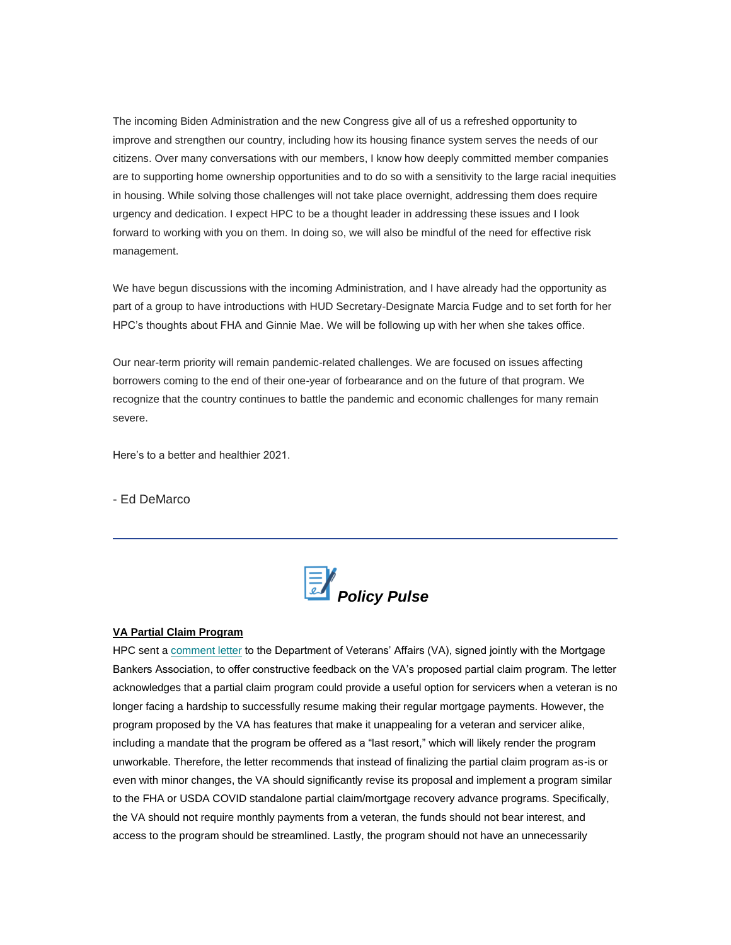The incoming Biden Administration and the new Congress give all of us a refreshed opportunity to improve and strengthen our country, including how its housing finance system serves the needs of our citizens. Over many conversations with our members, I know how deeply committed member companies are to supporting home ownership opportunities and to do so with a sensitivity to the large racial inequities in housing. While solving those challenges will not take place overnight, addressing them does require urgency and dedication. I expect HPC to be a thought leader in addressing these issues and I look forward to working with you on them. In doing so, we will also be mindful of the need for effective risk management.

We have begun discussions with the incoming Administration, and I have already had the opportunity as part of a group to have introductions with HUD Secretary-Designate Marcia Fudge and to set forth for her HPC's thoughts about FHA and Ginnie Mae. We will be following up with her when she takes office.

Our near-term priority will remain pandemic-related challenges. We are focused on issues affecting borrowers coming to the end of their one-year of forbearance and on the future of that program. We recognize that the country continues to battle the pandemic and economic challenges for many remain severe.

Here's to a better and healthier 2021.

- Ed DeMarco

<span id="page-1-0"></span>

### **VA Partial Claim Program**

HPC sent a [comment letter](https://nam12.safelinks.protection.outlook.com/?url=https%3A%2F%2Ffbb0ab68-1668-4db6-9365-051035190b71.filesusr.com%2Fugd%2Fd315af_2c15f5d5489348e6ad617a3aa86ad8de.pdf&data=04%7C01%7Canna.herndon%40edelman.com%7Cb70bc7db3d8141532ffc08d8b659a6c3%7Cb824bfb3918e43c2bb1cdcc1ba40a82b%7C0%7C0%7C637459843466691861%7CUnknown%7CTWFpbGZsb3d8eyJWIjoiMC4wLjAwMDAiLCJQIjoiV2luMzIiLCJBTiI6Ik1haWwiLCJXVCI6Mn0%3D%7C1000&sdata=jXcvCs200EsX6wqNJYvHHKsPij21zuy2oIe73X5Ob4I%3D&reserved=0) to the Department of Veterans' Affairs (VA), signed jointly with the Mortgage Bankers Association, to offer constructive feedback on the VA's proposed partial claim program. The letter acknowledges that a partial claim program could provide a useful option for servicers when a veteran is no longer facing a hardship to successfully resume making their regular mortgage payments. However, the program proposed by the VA has features that make it unappealing for a veteran and servicer alike, including a mandate that the program be offered as a "last resort," which will likely render the program unworkable. Therefore, the letter recommends that instead of finalizing the partial claim program as-is or even with minor changes, the VA should significantly revise its proposal and implement a program similar to the FHA or USDA COVID standalone partial claim/mortgage recovery advance programs. Specifically, the VA should not require monthly payments from a veteran, the funds should not bear interest, and access to the program should be streamlined. Lastly, the program should not have an unnecessarily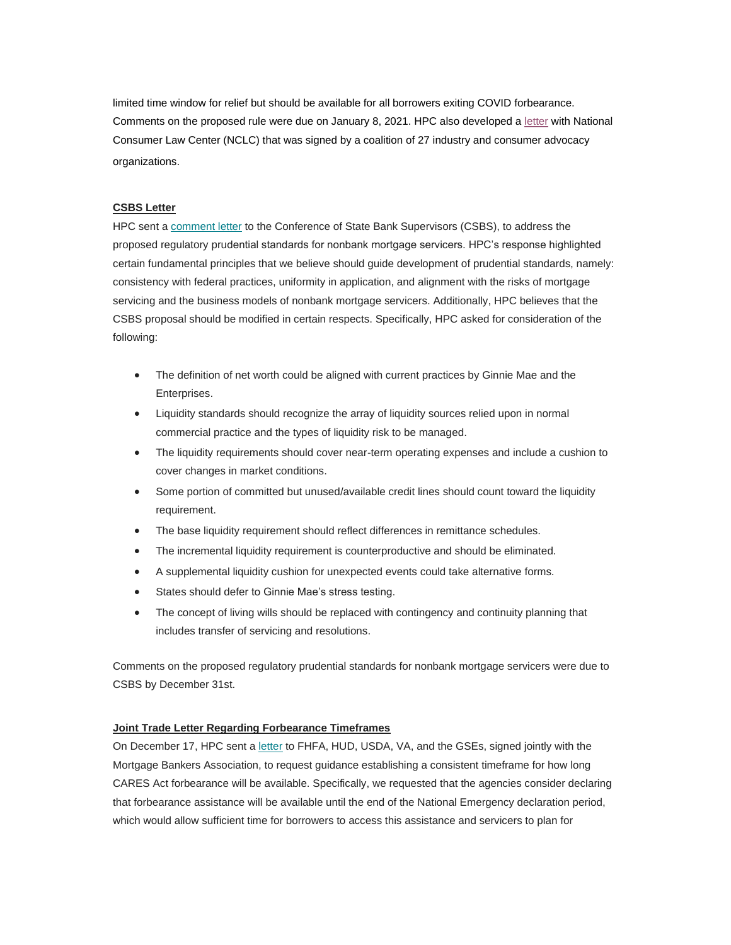limited time window for relief but should be available for all borrowers exiting COVID forbearance. Comments on the proposed rule were due on January 8, 2021. HPC also developed a [letter](https://nam12.safelinks.protection.outlook.com/?url=https%3A%2F%2Ffbb0ab68-1668-4db6-9365-051035190b71.filesusr.com%2Fugd%2Fd315af_8212e1097d994fefa83cfc0b1dde8809.pdf&data=04%7C01%7Canna.herndon%40edelman.com%7Cb70bc7db3d8141532ffc08d8b659a6c3%7Cb824bfb3918e43c2bb1cdcc1ba40a82b%7C0%7C0%7C637459843466691861%7CUnknown%7CTWFpbGZsb3d8eyJWIjoiMC4wLjAwMDAiLCJQIjoiV2luMzIiLCJBTiI6Ik1haWwiLCJXVCI6Mn0%3D%7C1000&sdata=omluyBcVCC8W%2BeCdKFA39wP1NrTVL7Cw5V%2BSGCqBXeY%3D&reserved=0) with National Consumer Law Center (NCLC) that was signed by a coalition of 27 industry and consumer advocacy organizations.

## **CSBS Letter**

HPC sent a [comment letter](https://nam12.safelinks.protection.outlook.com/?url=https%3A%2F%2Ffbb0ab68-1668-4db6-9365-051035190b71.filesusr.com%2Fugd%2Fd315af_361cf13ed7bc4e96957fef1fed2f0b46.pdf&data=04%7C01%7Canna.herndon%40edelman.com%7Cb70bc7db3d8141532ffc08d8b659a6c3%7Cb824bfb3918e43c2bb1cdcc1ba40a82b%7C0%7C0%7C637459843466701857%7CUnknown%7CTWFpbGZsb3d8eyJWIjoiMC4wLjAwMDAiLCJQIjoiV2luMzIiLCJBTiI6Ik1haWwiLCJXVCI6Mn0%3D%7C1000&sdata=%2Fon5%2BGrTTVP31QvAKYt4oVTyFunTTCMF6nFN8Fxx7%2FQ%3D&reserved=0) to the Conference of State Bank Supervisors (CSBS), to address the proposed regulatory prudential standards for nonbank mortgage servicers. HPC's response highlighted certain fundamental principles that we believe should guide development of prudential standards, namely: consistency with federal practices, uniformity in application, and alignment with the risks of mortgage servicing and the business models of nonbank mortgage servicers. Additionally, HPC believes that the CSBS proposal should be modified in certain respects. Specifically, HPC asked for consideration of the following:

- The definition of net worth could be aligned with current practices by Ginnie Mae and the Enterprises.
- Liquidity standards should recognize the array of liquidity sources relied upon in normal commercial practice and the types of liquidity risk to be managed.
- The liquidity requirements should cover near-term operating expenses and include a cushion to cover changes in market conditions.
- Some portion of committed but unused/available credit lines should count toward the liquidity requirement.
- The base liquidity requirement should reflect differences in remittance schedules.
- The incremental liquidity requirement is counterproductive and should be eliminated.
- A supplemental liquidity cushion for unexpected events could take alternative forms.
- States should defer to Ginnie Mae's stress testing.
- The concept of living wills should be replaced with contingency and continuity planning that includes transfer of servicing and resolutions.

Comments on the proposed regulatory prudential standards for nonbank mortgage servicers were due to CSBS by December 31st.

## **Joint Trade Letter Regarding Forbearance Timeframes**

On December 17, HPC sent a [letter](https://nam12.safelinks.protection.outlook.com/?url=https%3A%2F%2Ffbb0ab68-1668-4db6-9365-051035190b71.filesusr.com%2Fugd%2Fd315af_13cc5cb1693c42df83e2eb0f160658ad.pdf&data=04%7C01%7Canna.herndon%40edelman.com%7Cb70bc7db3d8141532ffc08d8b659a6c3%7Cb824bfb3918e43c2bb1cdcc1ba40a82b%7C0%7C0%7C637459843466701857%7CUnknown%7CTWFpbGZsb3d8eyJWIjoiMC4wLjAwMDAiLCJQIjoiV2luMzIiLCJBTiI6Ik1haWwiLCJXVCI6Mn0%3D%7C1000&sdata=qcP5MBh9A1LB6vRoVZbBUztew6e09g6nm4ELaIU7R6o%3D&reserved=0) to FHFA, HUD, USDA, VA, and the GSEs, signed jointly with the Mortgage Bankers Association, to request guidance establishing a consistent timeframe for how long CARES Act forbearance will be available. Specifically, we requested that the agencies consider declaring that forbearance assistance will be available until the end of the National Emergency declaration period, which would allow sufficient time for borrowers to access this assistance and servicers to plan for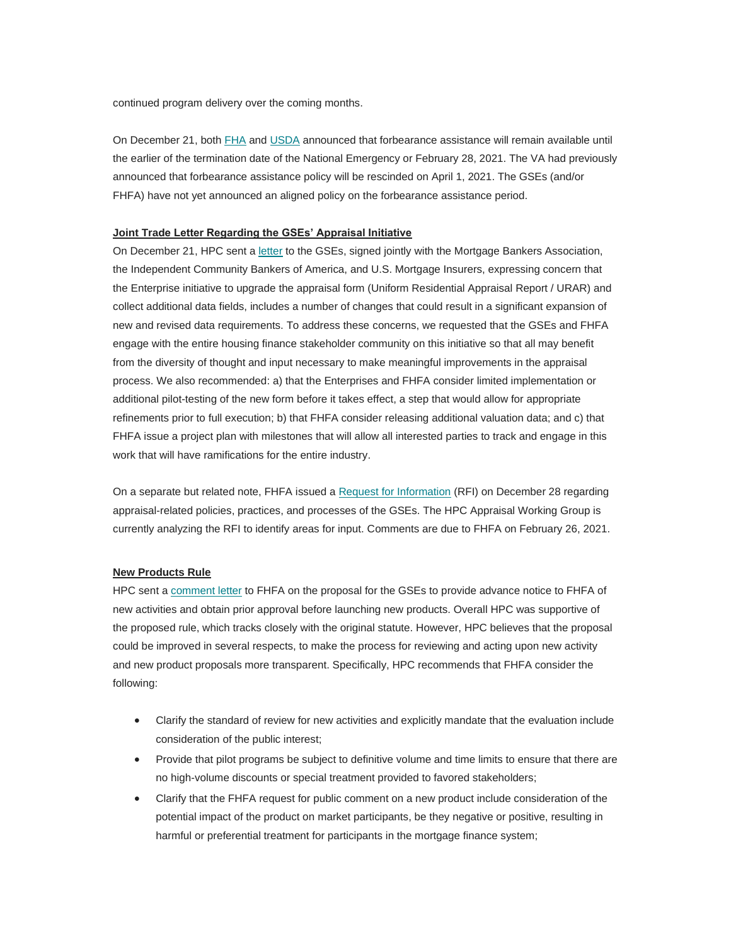continued program delivery over the coming months.

On December 21, both [FHA](https://nam12.safelinks.protection.outlook.com/?url=https%3A%2F%2Fwww.hud.gov%2Fsites%2Fdfiles%2FOCHCO%2Fdocuments%2F2020-44hsgml.pdf&data=04%7C01%7Canna.herndon%40edelman.com%7Cb70bc7db3d8141532ffc08d8b659a6c3%7Cb824bfb3918e43c2bb1cdcc1ba40a82b%7C0%7C0%7C637459843466711851%7CUnknown%7CTWFpbGZsb3d8eyJWIjoiMC4wLjAwMDAiLCJQIjoiV2luMzIiLCJBTiI6Ik1haWwiLCJXVCI6Mn0%3D%7C1000&sdata=N5Ees2rmPRnsb%2BoTjbV48Quqh5bd13RbKOeQndhQZqg%3D&reserved=0) and [USDA](https://nam12.safelinks.protection.outlook.com/?url=https%3A%2F%2Fcontent.govdelivery.com%2Faccounts%2FUSDARD%2Fbulletins%2F2b257a7&data=04%7C01%7Canna.herndon%40edelman.com%7Cb70bc7db3d8141532ffc08d8b659a6c3%7Cb824bfb3918e43c2bb1cdcc1ba40a82b%7C0%7C0%7C637459843466711851%7CUnknown%7CTWFpbGZsb3d8eyJWIjoiMC4wLjAwMDAiLCJQIjoiV2luMzIiLCJBTiI6Ik1haWwiLCJXVCI6Mn0%3D%7C1000&sdata=dv26wsaO7aGopStaiXZxNqFsNt3ldXWwFT1k7k4GXpU%3D&reserved=0) announced that forbearance assistance will remain available until the earlier of the termination date of the National Emergency or February 28, 2021. The VA had previously announced that forbearance assistance policy will be rescinded on April 1, 2021. The GSEs (and/or FHFA) have not yet announced an aligned policy on the forbearance assistance period.

### **Joint Trade Letter Regarding the GSEs' Appraisal Initiative**

On December 21, HPC sent a [letter](https://nam12.safelinks.protection.outlook.com/?url=https%3A%2F%2Ffbb0ab68-1668-4db6-9365-051035190b71.filesusr.com%2Fugd%2Fd315af_f258d46befc942dea7cbc3cb44d70a6b.pdf&data=04%7C01%7Canna.herndon%40edelman.com%7Cb70bc7db3d8141532ffc08d8b659a6c3%7Cb824bfb3918e43c2bb1cdcc1ba40a82b%7C0%7C0%7C637459843466721845%7CUnknown%7CTWFpbGZsb3d8eyJWIjoiMC4wLjAwMDAiLCJQIjoiV2luMzIiLCJBTiI6Ik1haWwiLCJXVCI6Mn0%3D%7C1000&sdata=iFWyn%2Bxbcmj%2Bm3w4yC1NK%2F0TlC%2F84y2Sqx6RizSTVnI%3D&reserved=0) to the GSEs, signed jointly with the Mortgage Bankers Association, the Independent Community Bankers of America, and U.S. Mortgage Insurers, expressing concern that the Enterprise initiative to upgrade the appraisal form (Uniform Residential Appraisal Report / URAR) and collect additional data fields, includes a number of changes that could result in a significant expansion of new and revised data requirements. To address these concerns, we requested that the GSEs and FHFA engage with the entire housing finance stakeholder community on this initiative so that all may benefit from the diversity of thought and input necessary to make meaningful improvements in the appraisal process. We also recommended: a) that the Enterprises and FHFA consider limited implementation or additional pilot-testing of the new form before it takes effect, a step that would allow for appropriate refinements prior to full execution; b) that FHFA consider releasing additional valuation data; and c) that FHFA issue a project plan with milestones that will allow all interested parties to track and engage in this work that will have ramifications for the entire industry.

On a separate but related note, FHFA issued a [Request for Information](https://nam12.safelinks.protection.outlook.com/?url=https%3A%2F%2Fwww.fhfa.gov%2FMedia%2FPublicAffairs%2FPublicAffairsDocuments%2FRFI-Appraisal-Related-Policies.pdf%3Futm_medium%3Demail%26utm_source%3Dgovdelivery&data=04%7C01%7Canna.herndon%40edelman.com%7Cb70bc7db3d8141532ffc08d8b659a6c3%7Cb824bfb3918e43c2bb1cdcc1ba40a82b%7C0%7C0%7C637459843466721845%7CUnknown%7CTWFpbGZsb3d8eyJWIjoiMC4wLjAwMDAiLCJQIjoiV2luMzIiLCJBTiI6Ik1haWwiLCJXVCI6Mn0%3D%7C1000&sdata=o52MNBRjL%2FwGipycrQUERoXchXTrQgSBr4eDsuaRnTw%3D&reserved=0) (RFI) on December 28 regarding appraisal-related policies, practices, and processes of the GSEs. The HPC Appraisal Working Group is currently analyzing the RFI to identify areas for input. Comments are due to FHFA on February 26, 2021.

### **New Products Rule**

HPC sent a [comment letter](https://nam12.safelinks.protection.outlook.com/?url=https%3A%2F%2Ffbb0ab68-1668-4db6-9365-051035190b71.filesusr.com%2Fugd%2Fd315af_b2c8e3b1744447d59aa4a351ff70f648.pdf&data=04%7C01%7Canna.herndon%40edelman.com%7Cb70bc7db3d8141532ffc08d8b659a6c3%7Cb824bfb3918e43c2bb1cdcc1ba40a82b%7C0%7C0%7C637459843466721845%7CUnknown%7CTWFpbGZsb3d8eyJWIjoiMC4wLjAwMDAiLCJQIjoiV2luMzIiLCJBTiI6Ik1haWwiLCJXVCI6Mn0%3D%7C1000&sdata=zISHHDbeQxVCqDF0GUxPQzJQcc0O6GxcTRMU3A7GydA%3D&reserved=0) to FHFA on the proposal for the GSEs to provide advance notice to FHFA of new activities and obtain prior approval before launching new products. Overall HPC was supportive of the proposed rule, which tracks closely with the original statute. However, HPC believes that the proposal could be improved in several respects, to make the process for reviewing and acting upon new activity and new product proposals more transparent. Specifically, HPC recommends that FHFA consider the following:

- Clarify the standard of review for new activities and explicitly mandate that the evaluation include consideration of the public interest;
- Provide that pilot programs be subject to definitive volume and time limits to ensure that there are no high-volume discounts or special treatment provided to favored stakeholders;
- Clarify that the FHFA request for public comment on a new product include consideration of the potential impact of the product on market participants, be they negative or positive, resulting in harmful or preferential treatment for participants in the mortgage finance system;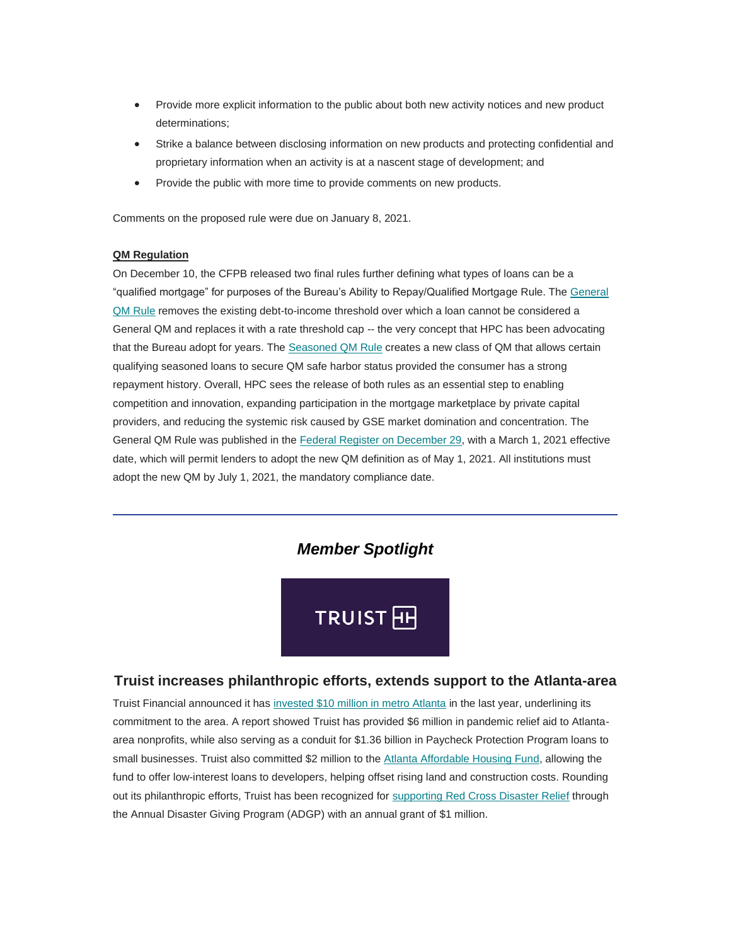- Provide more explicit information to the public about both new activity notices and new product determinations;
- Strike a balance between disclosing information on new products and protecting confidential and proprietary information when an activity is at a nascent stage of development; and
- Provide the public with more time to provide comments on new products.

Comments on the proposed rule were due on January 8, 2021.

## **QM Regulation**

On December 10, the CFPB released two final rules further defining what types of loans can be a "qualified mortgage" for purposes of the Bureau's Ability to Repay/Qualified Mortgage Rule. The [General](https://nam12.safelinks.protection.outlook.com/?url=https%3A%2F%2Ffiles.consumerfinance.gov%2Ff%2Fdocuments%2Fcfpb_atr-qm-general-qm-final-rule_2020-12.pdf&data=04%7C01%7Canna.herndon%40edelman.com%7Cb70bc7db3d8141532ffc08d8b659a6c3%7Cb824bfb3918e43c2bb1cdcc1ba40a82b%7C0%7C0%7C637459843466731840%7CUnknown%7CTWFpbGZsb3d8eyJWIjoiMC4wLjAwMDAiLCJQIjoiV2luMzIiLCJBTiI6Ik1haWwiLCJXVCI6Mn0%3D%7C1000&sdata=XS6oiM2dXr%2F7TaI9C2V0nvLyJ7hkfDIisqm4NC9DoGU%3D&reserved=0)  QM [Rule](https://nam12.safelinks.protection.outlook.com/?url=https%3A%2F%2Ffiles.consumerfinance.gov%2Ff%2Fdocuments%2Fcfpb_atr-qm-general-qm-final-rule_2020-12.pdf&data=04%7C01%7Canna.herndon%40edelman.com%7Cb70bc7db3d8141532ffc08d8b659a6c3%7Cb824bfb3918e43c2bb1cdcc1ba40a82b%7C0%7C0%7C637459843466731840%7CUnknown%7CTWFpbGZsb3d8eyJWIjoiMC4wLjAwMDAiLCJQIjoiV2luMzIiLCJBTiI6Ik1haWwiLCJXVCI6Mn0%3D%7C1000&sdata=XS6oiM2dXr%2F7TaI9C2V0nvLyJ7hkfDIisqm4NC9DoGU%3D&reserved=0) removes the existing debt-to-income threshold over which a loan cannot be considered a General QM and replaces it with a rate threshold cap -- the very concept that HPC has been advocating that the Bureau adopt for years. The [Seasoned QM Rule](https://nam12.safelinks.protection.outlook.com/?url=https%3A%2F%2Ffiles.consumerfinance.gov%2Ff%2Fdocuments%2Fcfpb_atr-qm-seasoned-qm-final-rule_2020-12.pdf&data=04%7C01%7Canna.herndon%40edelman.com%7Cb70bc7db3d8141532ffc08d8b659a6c3%7Cb824bfb3918e43c2bb1cdcc1ba40a82b%7C0%7C0%7C637459843466731840%7CUnknown%7CTWFpbGZsb3d8eyJWIjoiMC4wLjAwMDAiLCJQIjoiV2luMzIiLCJBTiI6Ik1haWwiLCJXVCI6Mn0%3D%7C1000&sdata=6oTbXL3%2BnfiMSP7JlAMEzLV4skbjwScxq9TokhrV%2Fjs%3D&reserved=0) creates a new class of QM that allows certain qualifying seasoned loans to secure QM safe harbor status provided the consumer has a strong repayment history. Overall, HPC sees the release of both rules as an essential step to enabling competition and innovation, expanding participation in the mortgage marketplace by private capital providers, and reducing the systemic risk caused by GSE market domination and concentration. The General QM Rule was published in the [Federal Register on December 29,](https://nam12.safelinks.protection.outlook.com/?url=https%3A%2F%2Fwww.federalregister.gov%2Fdocuments%2F2020%2F12%2F29%2F2020-27567%2Fqualified-mortgage-definition-under-the-truth-in-lending-act-regulation-z-general-qm-loan-definition&data=04%7C01%7Canna.herndon%40edelman.com%7Cb70bc7db3d8141532ffc08d8b659a6c3%7Cb824bfb3918e43c2bb1cdcc1ba40a82b%7C0%7C0%7C637459843466741832%7CUnknown%7CTWFpbGZsb3d8eyJWIjoiMC4wLjAwMDAiLCJQIjoiV2luMzIiLCJBTiI6Ik1haWwiLCJXVCI6Mn0%3D%7C1000&sdata=kmH31s40EvOMvhin5UCsd76v6WkOHK0EyOnlcC%2B%2FJgI%3D&reserved=0) with a March 1, 2021 effective date, which will permit lenders to adopt the new QM definition as of May 1, 2021. All institutions must adopt the new QM by July 1, 2021, the mandatory compliance date.

# *Member Spotlight*



# <span id="page-4-0"></span>**Truist increases philanthropic efforts, extends support to the Atlanta-area**

Truist Financial announced it has [invested \\$10 million in metro Atlanta](https://nam12.safelinks.protection.outlook.com/?url=https%3A%2F%2Fwww.ajc.com%2Fajcjobs%2Ftruist-touts-10-million-in-charitable-atlanta-investments%2FH6FMRR43PZHZNBPI27LSRT7VYM%2F&data=04%7C01%7Canna.herndon%40edelman.com%7Cb70bc7db3d8141532ffc08d8b659a6c3%7Cb824bfb3918e43c2bb1cdcc1ba40a82b%7C0%7C0%7C637459843466741832%7CUnknown%7CTWFpbGZsb3d8eyJWIjoiMC4wLjAwMDAiLCJQIjoiV2luMzIiLCJBTiI6Ik1haWwiLCJXVCI6Mn0%3D%7C1000&sdata=p6y2UIhZpIeYKhhlLXdfezOatkLjiahcwklX%2BwRw544%3D&reserved=0) in the last year, underlining its commitment to the area. A report showed Truist has provided \$6 million in pandemic relief aid to Atlantaarea nonprofits, while also serving as a conduit for \$1.36 billion in Paycheck Protection Program loans to small businesses. Truist also committed \$2 million to the [Atlanta Affordable Housing Fund,](https://nam12.safelinks.protection.outlook.com/?url=https%3A%2F%2Fwww.bizjournals.com%2Fatlanta%2Fnews%2F2020%2F12%2F16%2Ftruist-atlanta-affordable-housing-fund.html&data=04%7C01%7Canna.herndon%40edelman.com%7Cb70bc7db3d8141532ffc08d8b659a6c3%7Cb824bfb3918e43c2bb1cdcc1ba40a82b%7C0%7C0%7C637459843466751827%7CUnknown%7CTWFpbGZsb3d8eyJWIjoiMC4wLjAwMDAiLCJQIjoiV2luMzIiLCJBTiI6Ik1haWwiLCJXVCI6Mn0%3D%7C1000&sdata=HtpV%2BShrT2RmdV6F5lC%2BdWNXiRr0jGljnEA0tAuTejw%3D&reserved=0) allowing the fund to offer low-interest loans to developers, helping offset rising land and construction costs. Rounding out its philanthropic efforts, Truist has been recognized for [supporting Red Cross Disaster Relief](https://nam12.safelinks.protection.outlook.com/?url=https%3A%2F%2Fmedia.truist.com%2Fnews-releases%3Fitem%3D122469&data=04%7C01%7Canna.herndon%40edelman.com%7Cb70bc7db3d8141532ffc08d8b659a6c3%7Cb824bfb3918e43c2bb1cdcc1ba40a82b%7C0%7C0%7C637459843466751827%7CUnknown%7CTWFpbGZsb3d8eyJWIjoiMC4wLjAwMDAiLCJQIjoiV2luMzIiLCJBTiI6Ik1haWwiLCJXVCI6Mn0%3D%7C1000&sdata=YeG57K0P5V44GS3ycb1lfxGUhxHl9RMA3p6ULYRcfFA%3D&reserved=0) through the Annual Disaster Giving Program (ADGP) with an annual grant of \$1 million.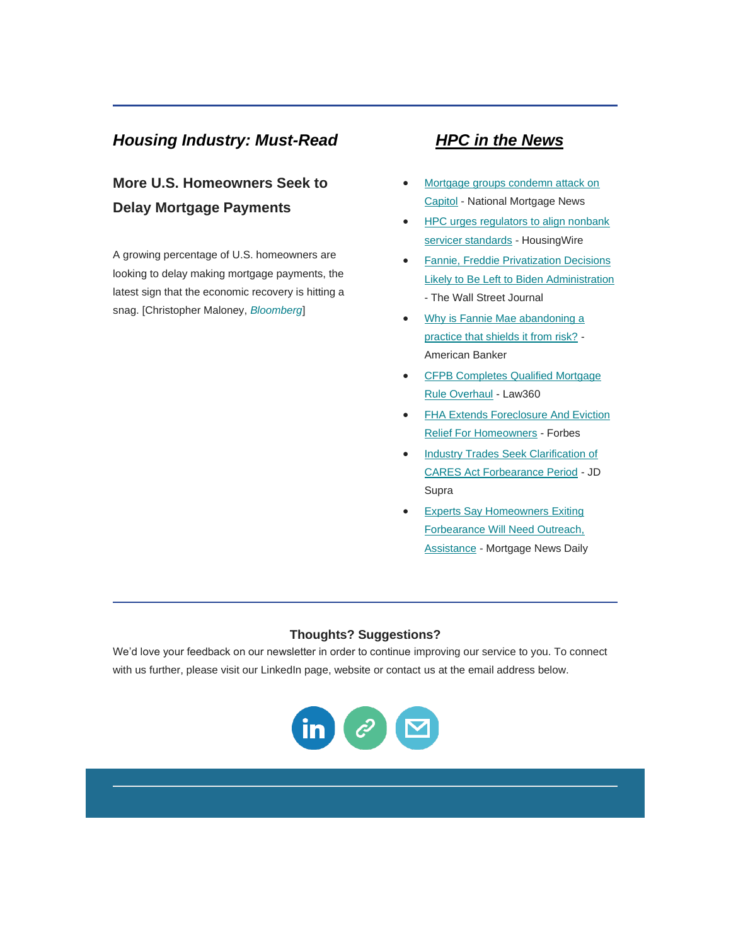# <span id="page-5-0"></span>*Housing Industry: Must-Read HPC in the News*

# **More U.S. Homeowners Seek to Delay Mortgage Payments**

A growing percentage of U.S. homeowners are looking to delay making mortgage payments, the latest sign that the economic recovery is hitting a snag. [Christopher Maloney, *[Bloomberg](https://nam12.safelinks.protection.outlook.com/?url=https%3A%2F%2Fwww.bloomberg.com%2Fnews%2Farticles%2F2020-12-15%2Fmore-u-s-mortgage-borrowers-start-to-seek-loan-forbearance%3Fmkt_tok%3DeyJpIjoiTmpkbU5qQTROelV6TVdNNCIsInQiOiJ4OUpqVmdvaWpoMU81VjRqR3p0XC9iaGRyY0RhMHdrVUFmcmYwelJQcXJaNTZ0MWhrQnVvdnFPbHNDU2Z2ZDI5MUNJS2ZxdFBGRFVKUlwvSkc5anRUQTlJR0d0RkZMSERHQkJ2TGY3am4xXC9RdzhScENTUUoxVlE5VUFkTWpwQ01BRyJ9&data=04%7C01%7Canna.herndon%40edelman.com%7Cb70bc7db3d8141532ffc08d8b659a6c3%7Cb824bfb3918e43c2bb1cdcc1ba40a82b%7C0%7C0%7C637459843466761823%7CUnknown%7CTWFpbGZsb3d8eyJWIjoiMC4wLjAwMDAiLCJQIjoiV2luMzIiLCJBTiI6Ik1haWwiLCJXVCI6Mn0%3D%7C1000&sdata=71s86j6eF5tnePKf3I%2F66JsY3DgkOQEM8IF6HioxvpE%3D&reserved=0)*]

- <span id="page-5-1"></span>• [Mortgage groups condemn attack on](https://nam12.safelinks.protection.outlook.com/?url=https%3A%2F%2Fwww.nationalmortgagenews.com%2Fnews%2Fmortgage-groups-condemn-attack-on-capitol&data=04%7C01%7Canna.herndon%40edelman.com%7Cb70bc7db3d8141532ffc08d8b659a6c3%7Cb824bfb3918e43c2bb1cdcc1ba40a82b%7C0%7C0%7C637459843466761823%7CUnknown%7CTWFpbGZsb3d8eyJWIjoiMC4wLjAwMDAiLCJQIjoiV2luMzIiLCJBTiI6Ik1haWwiLCJXVCI6Mn0%3D%7C1000&sdata=M8QwHTdscK9qvkngdfumtj7eROX9oGc5F5X4rZtkgGw%3D&reserved=0)  [Capitol](https://nam12.safelinks.protection.outlook.com/?url=https%3A%2F%2Fwww.nationalmortgagenews.com%2Fnews%2Fmortgage-groups-condemn-attack-on-capitol&data=04%7C01%7Canna.herndon%40edelman.com%7Cb70bc7db3d8141532ffc08d8b659a6c3%7Cb824bfb3918e43c2bb1cdcc1ba40a82b%7C0%7C0%7C637459843466761823%7CUnknown%7CTWFpbGZsb3d8eyJWIjoiMC4wLjAwMDAiLCJQIjoiV2luMzIiLCJBTiI6Ik1haWwiLCJXVCI6Mn0%3D%7C1000&sdata=M8QwHTdscK9qvkngdfumtj7eROX9oGc5F5X4rZtkgGw%3D&reserved=0) - National Mortgage News
- [HPC urges regulators to align nonbank](https://nam12.safelinks.protection.outlook.com/?url=https%3A%2F%2Fwww.housingwire.com%2Farticles%2Fhpc-urges-regulators-to-align-nonbank-servicer-standards%2F&data=04%7C01%7Canna.herndon%40edelman.com%7Cb70bc7db3d8141532ffc08d8b659a6c3%7Cb824bfb3918e43c2bb1cdcc1ba40a82b%7C0%7C0%7C637459843466771818%7CUnknown%7CTWFpbGZsb3d8eyJWIjoiMC4wLjAwMDAiLCJQIjoiV2luMzIiLCJBTiI6Ik1haWwiLCJXVCI6Mn0%3D%7C1000&sdata=yzDo94gWFWSRLZhu0xHo0RJVwbBc3K%2FmZ1iLeV%2B3Xo4%3D&reserved=0) [servicer standards](https://nam12.safelinks.protection.outlook.com/?url=https%3A%2F%2Fwww.housingwire.com%2Farticles%2Fhpc-urges-regulators-to-align-nonbank-servicer-standards%2F&data=04%7C01%7Canna.herndon%40edelman.com%7Cb70bc7db3d8141532ffc08d8b659a6c3%7Cb824bfb3918e43c2bb1cdcc1ba40a82b%7C0%7C0%7C637459843466771818%7CUnknown%7CTWFpbGZsb3d8eyJWIjoiMC4wLjAwMDAiLCJQIjoiV2luMzIiLCJBTiI6Ik1haWwiLCJXVCI6Mn0%3D%7C1000&sdata=yzDo94gWFWSRLZhu0xHo0RJVwbBc3K%2FmZ1iLeV%2B3Xo4%3D&reserved=0) - HousingWire
- [Fannie, Freddie Privatization Decisions](https://nam12.safelinks.protection.outlook.com/?url=https%3A%2F%2Fwww.wsj.com%2Farticles%2Ffannie-freddie-privatization-decisions-likely-to-be-left-to-biden-administration-11608028200&data=04%7C01%7Canna.herndon%40edelman.com%7Cb70bc7db3d8141532ffc08d8b659a6c3%7Cb824bfb3918e43c2bb1cdcc1ba40a82b%7C0%7C0%7C637459843466771818%7CUnknown%7CTWFpbGZsb3d8eyJWIjoiMC4wLjAwMDAiLCJQIjoiV2luMzIiLCJBTiI6Ik1haWwiLCJXVCI6Mn0%3D%7C1000&sdata=7VQ8NWkyFxFvcsFK%2FvblRj4%2FjMFSbCKR8IYYEUjaIYc%3D&reserved=0)  [Likely to Be Left to Biden Administration](https://nam12.safelinks.protection.outlook.com/?url=https%3A%2F%2Fwww.wsj.com%2Farticles%2Ffannie-freddie-privatization-decisions-likely-to-be-left-to-biden-administration-11608028200&data=04%7C01%7Canna.herndon%40edelman.com%7Cb70bc7db3d8141532ffc08d8b659a6c3%7Cb824bfb3918e43c2bb1cdcc1ba40a82b%7C0%7C0%7C637459843466771818%7CUnknown%7CTWFpbGZsb3d8eyJWIjoiMC4wLjAwMDAiLCJQIjoiV2luMzIiLCJBTiI6Ik1haWwiLCJXVCI6Mn0%3D%7C1000&sdata=7VQ8NWkyFxFvcsFK%2FvblRj4%2FjMFSbCKR8IYYEUjaIYc%3D&reserved=0) - The Wall Street Journal
- [Why is Fannie Mae abandoning a](https://nam12.safelinks.protection.outlook.com/?url=https%3A%2F%2Fwww.americanbanker.com%2Fnews%2Fwhy-is-fannie-mae-abandoning-a-practice-that-shields-it-from-risk&data=04%7C01%7Canna.herndon%40edelman.com%7Cb70bc7db3d8141532ffc08d8b659a6c3%7Cb824bfb3918e43c2bb1cdcc1ba40a82b%7C0%7C0%7C637459843466781811%7CUnknown%7CTWFpbGZsb3d8eyJWIjoiMC4wLjAwMDAiLCJQIjoiV2luMzIiLCJBTiI6Ik1haWwiLCJXVCI6Mn0%3D%7C1000&sdata=jfGmYCJ0Fdbe9rzCmIUuQRsMCttKJfnrk1mBBzAfdIQ%3D&reserved=0)  [practice that shields it from risk?](https://nam12.safelinks.protection.outlook.com/?url=https%3A%2F%2Fwww.americanbanker.com%2Fnews%2Fwhy-is-fannie-mae-abandoning-a-practice-that-shields-it-from-risk&data=04%7C01%7Canna.herndon%40edelman.com%7Cb70bc7db3d8141532ffc08d8b659a6c3%7Cb824bfb3918e43c2bb1cdcc1ba40a82b%7C0%7C0%7C637459843466781811%7CUnknown%7CTWFpbGZsb3d8eyJWIjoiMC4wLjAwMDAiLCJQIjoiV2luMzIiLCJBTiI6Ik1haWwiLCJXVCI6Mn0%3D%7C1000&sdata=jfGmYCJ0Fdbe9rzCmIUuQRsMCttKJfnrk1mBBzAfdIQ%3D&reserved=0) - American Banker
- [CFPB Completes Qualified Mortgage](https://nam12.safelinks.protection.outlook.com/?url=https%3A%2F%2Fwww.law360.com%2Farticles%2F1336664%2Fcfpb-completes-qualified-mortgage-rule-overhaul&data=04%7C01%7Canna.herndon%40edelman.com%7Cb70bc7db3d8141532ffc08d8b659a6c3%7Cb824bfb3918e43c2bb1cdcc1ba40a82b%7C0%7C0%7C637459843466781811%7CUnknown%7CTWFpbGZsb3d8eyJWIjoiMC4wLjAwMDAiLCJQIjoiV2luMzIiLCJBTiI6Ik1haWwiLCJXVCI6Mn0%3D%7C1000&sdata=QYb8R7W3b%2BLY41gdiWWMKlsYoFY6idtS4Kp1VZHjODQ%3D&reserved=0)  [Rule Overhaul](https://nam12.safelinks.protection.outlook.com/?url=https%3A%2F%2Fwww.law360.com%2Farticles%2F1336664%2Fcfpb-completes-qualified-mortgage-rule-overhaul&data=04%7C01%7Canna.herndon%40edelman.com%7Cb70bc7db3d8141532ffc08d8b659a6c3%7Cb824bfb3918e43c2bb1cdcc1ba40a82b%7C0%7C0%7C637459843466781811%7CUnknown%7CTWFpbGZsb3d8eyJWIjoiMC4wLjAwMDAiLCJQIjoiV2luMzIiLCJBTiI6Ik1haWwiLCJXVCI6Mn0%3D%7C1000&sdata=QYb8R7W3b%2BLY41gdiWWMKlsYoFY6idtS4Kp1VZHjODQ%3D&reserved=0) - Law360
- [FHA Extends Foreclosure And Eviction](https://nam12.safelinks.protection.outlook.com/?url=https%3A%2F%2Fwww.forbes.com%2Fsites%2Fbrendarichardson%2F2020%2F12%2F23%2Ffha-extends-foreclosure-and-eviction-relief-for-homeowners%2F%3Fsh%3D5ff004e45c7a&data=04%7C01%7Canna.herndon%40edelman.com%7Cb70bc7db3d8141532ffc08d8b659a6c3%7Cb824bfb3918e43c2bb1cdcc1ba40a82b%7C0%7C0%7C637459843466791807%7CUnknown%7CTWFpbGZsb3d8eyJWIjoiMC4wLjAwMDAiLCJQIjoiV2luMzIiLCJBTiI6Ik1haWwiLCJXVCI6Mn0%3D%7C1000&sdata=l16qyzCosk1%2FNtKz3%2FLwvVDtJYyIGmjiMQmLk3V3PS0%3D&reserved=0)  [Relief For Homeowners](https://nam12.safelinks.protection.outlook.com/?url=https%3A%2F%2Fwww.forbes.com%2Fsites%2Fbrendarichardson%2F2020%2F12%2F23%2Ffha-extends-foreclosure-and-eviction-relief-for-homeowners%2F%3Fsh%3D5ff004e45c7a&data=04%7C01%7Canna.herndon%40edelman.com%7Cb70bc7db3d8141532ffc08d8b659a6c3%7Cb824bfb3918e43c2bb1cdcc1ba40a82b%7C0%7C0%7C637459843466791807%7CUnknown%7CTWFpbGZsb3d8eyJWIjoiMC4wLjAwMDAiLCJQIjoiV2luMzIiLCJBTiI6Ik1haWwiLCJXVCI6Mn0%3D%7C1000&sdata=l16qyzCosk1%2FNtKz3%2FLwvVDtJYyIGmjiMQmLk3V3PS0%3D&reserved=0) - Forbes
- [Industry Trades Seek Clarification of](https://nam12.safelinks.protection.outlook.com/?url=https%3A%2F%2Fwww.jdsupra.com%2Flegalnews%2Findustry-trades-seek-clarification-of-54422%2F&data=04%7C01%7Canna.herndon%40edelman.com%7Cb70bc7db3d8141532ffc08d8b659a6c3%7Cb824bfb3918e43c2bb1cdcc1ba40a82b%7C0%7C0%7C637459843466791807%7CUnknown%7CTWFpbGZsb3d8eyJWIjoiMC4wLjAwMDAiLCJQIjoiV2luMzIiLCJBTiI6Ik1haWwiLCJXVCI6Mn0%3D%7C1000&sdata=Mc3DRFkfOeLEexEvok6cWS0awhMENaVJRnq62glbD3I%3D&reserved=0)  [CARES Act Forbearance Period](https://nam12.safelinks.protection.outlook.com/?url=https%3A%2F%2Fwww.jdsupra.com%2Flegalnews%2Findustry-trades-seek-clarification-of-54422%2F&data=04%7C01%7Canna.herndon%40edelman.com%7Cb70bc7db3d8141532ffc08d8b659a6c3%7Cb824bfb3918e43c2bb1cdcc1ba40a82b%7C0%7C0%7C637459843466791807%7CUnknown%7CTWFpbGZsb3d8eyJWIjoiMC4wLjAwMDAiLCJQIjoiV2luMzIiLCJBTiI6Ik1haWwiLCJXVCI6Mn0%3D%7C1000&sdata=Mc3DRFkfOeLEexEvok6cWS0awhMENaVJRnq62glbD3I%3D&reserved=0) - JD Supra
- [Experts Say Homeowners Exiting](https://nam12.safelinks.protection.outlook.com/?url=http%3A%2F%2Fwww.mortgagenewsdaily.com%2F12212020_covid_19_impacts.asp&data=04%7C01%7Canna.herndon%40edelman.com%7Cb70bc7db3d8141532ffc08d8b659a6c3%7Cb824bfb3918e43c2bb1cdcc1ba40a82b%7C0%7C0%7C637459843466801800%7CUnknown%7CTWFpbGZsb3d8eyJWIjoiMC4wLjAwMDAiLCJQIjoiV2luMzIiLCJBTiI6Ik1haWwiLCJXVCI6Mn0%3D%7C1000&sdata=ifKtTe0URivYBCb6LUHaB38ik6WmZikWNe8pbyoG5hU%3D&reserved=0)  [Forbearance Will Need Outreach,](https://nam12.safelinks.protection.outlook.com/?url=http%3A%2F%2Fwww.mortgagenewsdaily.com%2F12212020_covid_19_impacts.asp&data=04%7C01%7Canna.herndon%40edelman.com%7Cb70bc7db3d8141532ffc08d8b659a6c3%7Cb824bfb3918e43c2bb1cdcc1ba40a82b%7C0%7C0%7C637459843466801800%7CUnknown%7CTWFpbGZsb3d8eyJWIjoiMC4wLjAwMDAiLCJQIjoiV2luMzIiLCJBTiI6Ik1haWwiLCJXVCI6Mn0%3D%7C1000&sdata=ifKtTe0URivYBCb6LUHaB38ik6WmZikWNe8pbyoG5hU%3D&reserved=0)  [Assistance](https://nam12.safelinks.protection.outlook.com/?url=http%3A%2F%2Fwww.mortgagenewsdaily.com%2F12212020_covid_19_impacts.asp&data=04%7C01%7Canna.herndon%40edelman.com%7Cb70bc7db3d8141532ffc08d8b659a6c3%7Cb824bfb3918e43c2bb1cdcc1ba40a82b%7C0%7C0%7C637459843466801800%7CUnknown%7CTWFpbGZsb3d8eyJWIjoiMC4wLjAwMDAiLCJQIjoiV2luMzIiLCJBTiI6Ik1haWwiLCJXVCI6Mn0%3D%7C1000&sdata=ifKtTe0URivYBCb6LUHaB38ik6WmZikWNe8pbyoG5hU%3D&reserved=0) - Mortgage News Daily

## **Thoughts? Suggestions?**

We'd love your feedback on our newsletter in order to continue improving our service to you. To connect with us further, please visit our LinkedIn page, website or contact us at the email address below.